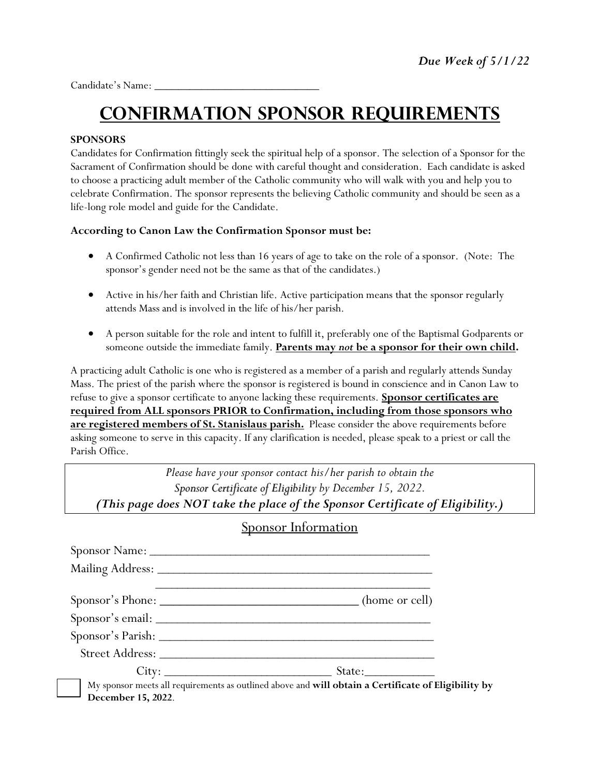Candidate's Name:

# **Confirmation SPONSOR Requirements**

#### **SPONSORS**

Candidates for Confirmation fittingly seek the spiritual help of a sponsor. The selection of a Sponsor for the Sacrament of Confirmation should be done with careful thought and consideration. Each candidate is asked to choose a practicing adult member of the Catholic community who will walk with you and help you to celebrate Confirmation. The sponsor represents the believing Catholic community and should be seen as a life-long role model and guide for the Candidate.

#### **According to Canon Law the Confirmation Sponsor must be:**

- A Confirmed Catholic not less than 16 years of age to take on the role of a sponsor. (Note: The sponsor's gender need not be the same as that of the candidates.)
- Active in his/her faith and Christian life. Active participation means that the sponsor regularly attends Mass and is involved in the life of his/her parish.
- A person suitable for the role and intent to fulfill it, preferably one of the Baptismal Godparents or someone outside the immediate family. **Parents may** *not* **be a sponsor for their own child.**

A practicing adult Catholic is one who is registered as a member of a parish and regularly attends Sunday Mass. The priest of the parish where the sponsor is registered is bound in conscience and in Canon Law to refuse to give a sponsor certificate to anyone lacking these requirements. **Sponsor certificates are required from ALL sponsors PRIOR to Confirmation, including from those sponsors who are registered members of St. Stanislaus parish.** Please consider the above requirements before asking someone to serve in this capacity. If any clarification is needed, please speak to a priest or call the Parish Office.

*Please have your sponsor contact his/her parish to obtain the Sponsor Certificate of Eligibilityby December 15, 2022. (This page does NOT take the place of the Sponsor Certificate of Eligibility.)*

### Sponsor Information

|                    | Sponsor's Phone: __________________________________(home or cell)                                   |
|--------------------|-----------------------------------------------------------------------------------------------------|
|                    |                                                                                                     |
|                    |                                                                                                     |
|                    |                                                                                                     |
|                    | $City:$ State:                                                                                      |
|                    | My sponsor meets all requirements as outlined above and will obtain a Certificate of Eligibility by |
| December 15, 2022. |                                                                                                     |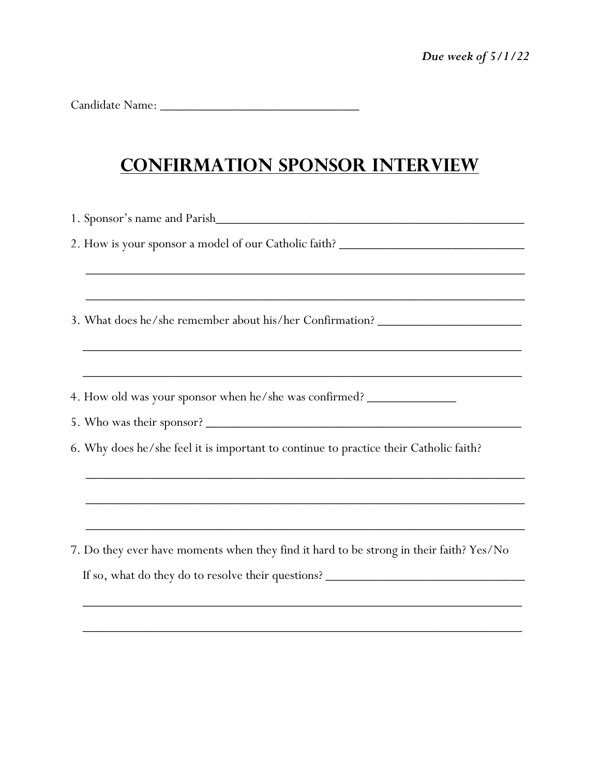Candidate Name: \_\_\_\_\_\_\_\_\_\_\_\_\_\_\_\_\_\_\_\_\_\_\_\_\_\_\_\_\_

## **Confirmation Sponsor Interview**

|  | 2. How is your sponsor a model of our Catholic faith? ___________________________       |  |  |
|--|-----------------------------------------------------------------------------------------|--|--|
|  |                                                                                         |  |  |
|  |                                                                                         |  |  |
|  | 3. What does he/she remember about his/her Confirmation? _______________________        |  |  |
|  |                                                                                         |  |  |
|  |                                                                                         |  |  |
|  | 4. How old was your sponsor when he/she was confirmed?                                  |  |  |
|  |                                                                                         |  |  |
|  | 6. Why does he/she feel it is important to continue to practice their Catholic faith?   |  |  |
|  |                                                                                         |  |  |
|  | ,我们也不会有什么。""我们的人,我们也不会有什么?""我们的人,我们也不会有什么?""我们的人,我们也不会有什么?""我们的人,我们也不会有什么?""我们的人        |  |  |
|  |                                                                                         |  |  |
|  | 7. Do they ever have moments when they find it hard to be strong in their faith? Yes/No |  |  |
|  |                                                                                         |  |  |
|  | If so, what do they do to resolve their questions?                                      |  |  |
|  |                                                                                         |  |  |

 $\overline{\phantom{a}}$  ,  $\overline{\phantom{a}}$  ,  $\overline{\phantom{a}}$  ,  $\overline{\phantom{a}}$  ,  $\overline{\phantom{a}}$  ,  $\overline{\phantom{a}}$  ,  $\overline{\phantom{a}}$  ,  $\overline{\phantom{a}}$  ,  $\overline{\phantom{a}}$  ,  $\overline{\phantom{a}}$  ,  $\overline{\phantom{a}}$  ,  $\overline{\phantom{a}}$  ,  $\overline{\phantom{a}}$  ,  $\overline{\phantom{a}}$  ,  $\overline{\phantom{a}}$  ,  $\overline{\phantom{a}}$